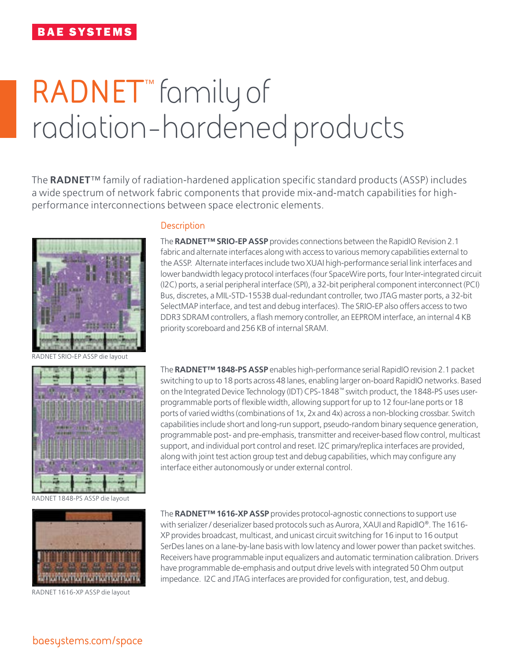# **BAE SYSTEMS**

# **RADNET**™ family of radiation-hardened products

The **RADNET**™ family of radiation-hardened application specific standard products (ASSP) includes a wide spectrum of network fabric components that provide mix-and-match capabilities for highperformance interconnections between space electronic elements.



RADNET SRIO-EP ASSP die layout



RADNET 1848-PS ASSP die layout



RADNET 1616-XP ASSP die layout

### **Description**

The **RADNET™ SRIO-EP ASSP** provides connections between the RapidIO Revision 2.1 fabric and alternate interfaces along with access to various memory capabilities external to the ASSP. Alternate interfaces include two XUAI high-performance serial link interfaces and lower bandwidth legacy protocol interfaces (four SpaceWire ports, four Inter-integrated circuit (I2C) ports, a serial peripheral interface (SPI), a 32-bit peripheral component interconnect (PCI) Bus, discretes, a MIL-STD-1553B dual-redundant controller, two JTAG master ports, a 32-bit SelectMAP interface, and test and debug interfaces). The SRIO-EP also offers access to two DDR3 SDRAM controllers, a flash memory controller, an EEPROM interface, an internal 4 KB priority scoreboard and 256 KB of internal SRAM.

The **RADNET™ 1848-PS ASSP** enables high-performance serial RapidIO revision 2.1 packet switching to up to 18 ports across 48 lanes, enabling larger on-board RapidIO networks. Based on the Integrated Device Technology (IDT) CPS-1848™ switch product, the 1848-PS uses userprogrammable ports of flexible width, allowing support for up to 12 four-lane ports or 18 ports of varied widths (combinations of 1x, 2x and 4x) across a non-blocking crossbar. Switch capabilities include short and long-run support, pseudo-random binary sequence generation, programmable post- and pre-emphasis, transmitter and receiver-based flow control, multicast support, and individual port control and reset. I2C primary/replica interfaces are provided, along with joint test action group test and debug capabilities, which may configure any interface either autonomously or under external control.

The **RADNET™ 1616-XP ASSP** provides protocol-agnostic connections to support use with serializer / deserializer based protocols such as Aurora, XAUI and RapidIO®. The 1616- XP provides broadcast, multicast, and unicast circuit switching for 16 input to 16 output SerDes lanes on a lane-by-lane basis with low latency and lower power than packet switches. Receivers have programmable input equalizers and automatic termination calibration. Drivers have programmable de-emphasis and output drive levels with integrated 50 Ohm output impedance. I2C and JTAG interfaces are provided for configuration, test, and debug.

**baesystems.com/space**